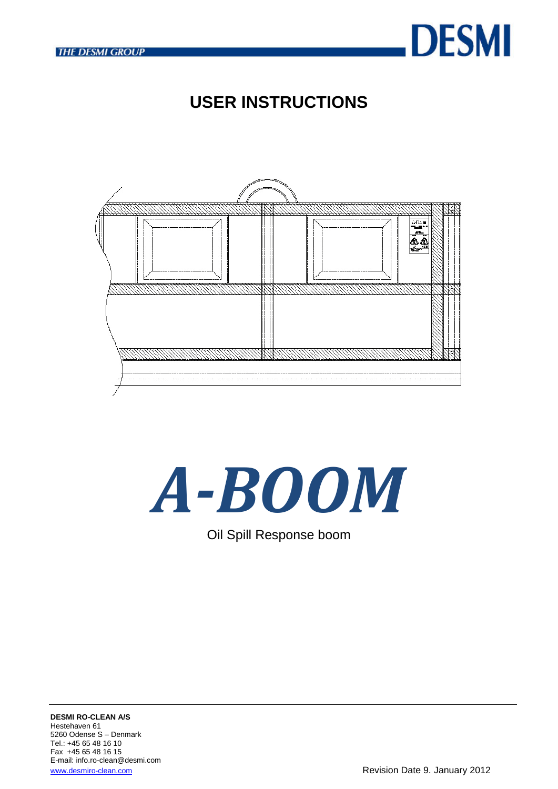

# **USER INSTRUCTIONS**



# *A-BOOM*

Oil Spill Response boom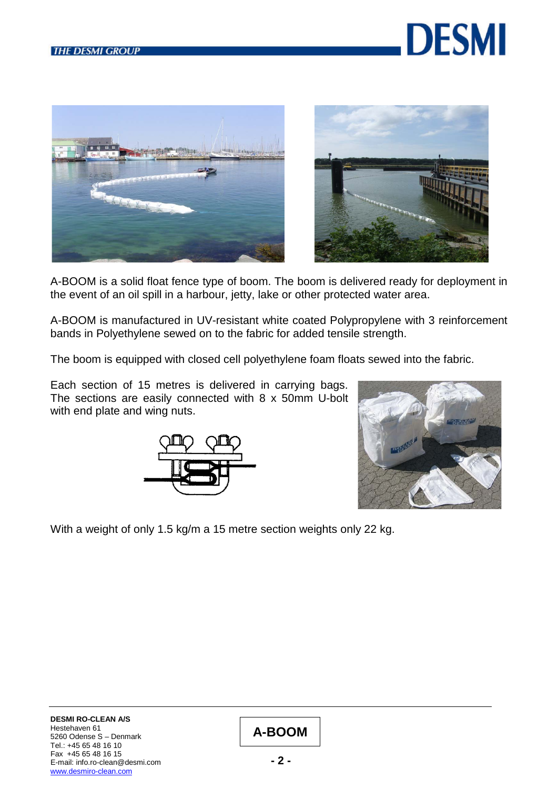





A-BOOM is a solid float fence type of boom. The boom is delivered ready for deployment in the event of an oil spill in a harbour, jetty, lake or other protected water area.

A-BOOM is manufactured in UV-resistant white coated Polypropylene with 3 reinforcement bands in Polyethylene sewed on to the fabric for added tensile strength.

The boom is equipped with closed cell polyethylene foam floats sewed into the fabric.

Each section of 15 metres is delivered in carrying bags. The sections are easily connected with 8 x 50mm U-bolt with end plate and wing nuts.





With a weight of only 1.5 kg/m a 15 metre section weights only 22 kg.

## **A-BOOM**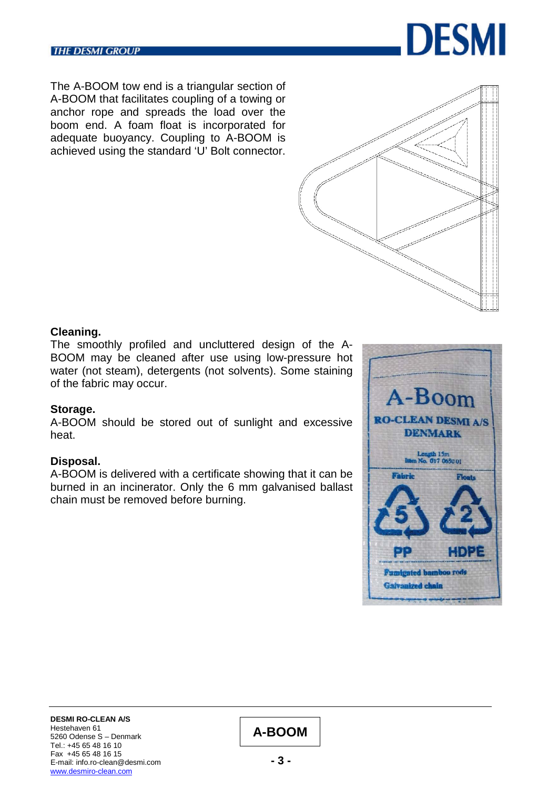

The A-BOOM tow end is a triangular section of A-BOOM that facilitates coupling of a towing or anchor rope and spreads the load over the boom end. A foam float is incorporated for adequate buoyancy. Coupling to A-BOOM is achieved using the standard 'U' Bolt connector.



#### **Cleaning.**

The smoothly profiled and uncluttered design of the A-BOOM may be cleaned after use using low-pressure hot water (not steam), detergents (not solvents). Some staining of the fabric may occur.

#### **Storage.**

A-BOOM should be stored out of sunlight and excessive heat.

## **Disposal.**

A-BOOM is delivered with a certificate showing that it can be burned in an incinerator. Only the 6 mm galvanised ballast chain must be removed before burning.



**DESMI RO-CLEAN A/S** Hestehaven 61 5260 Odense S – Denmark Tel.: +45 65 48 16 10 Fax +45 65 48 16 15 E-mail: info.ro-clean@desmi.com [www.desmiro-clean.com](http://www.desmiro-clean.com/)

# **A-BOOM**